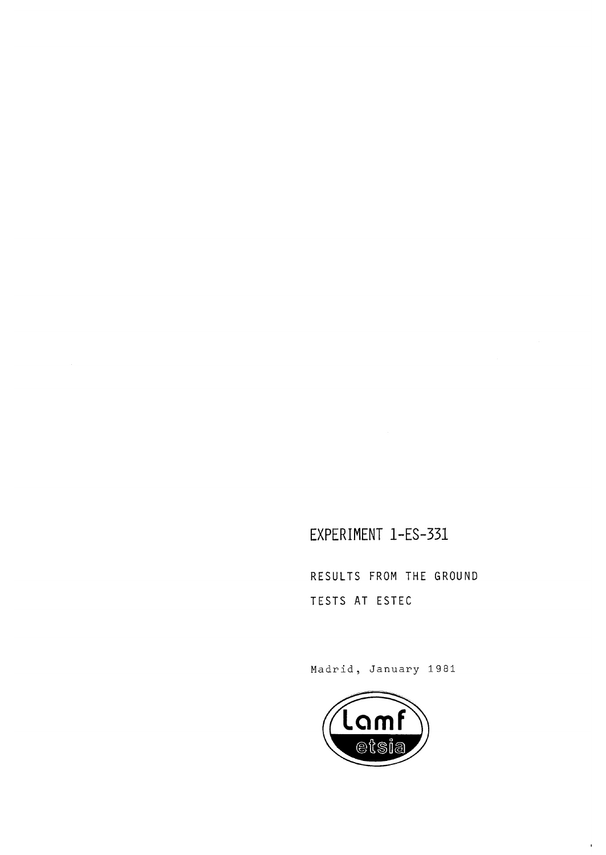EXPERIMENT l-ES-331

RESULTS FROM THE GROUND TESTS AT ESTEC

Madrid, January 1981



 $\mathbf{r}$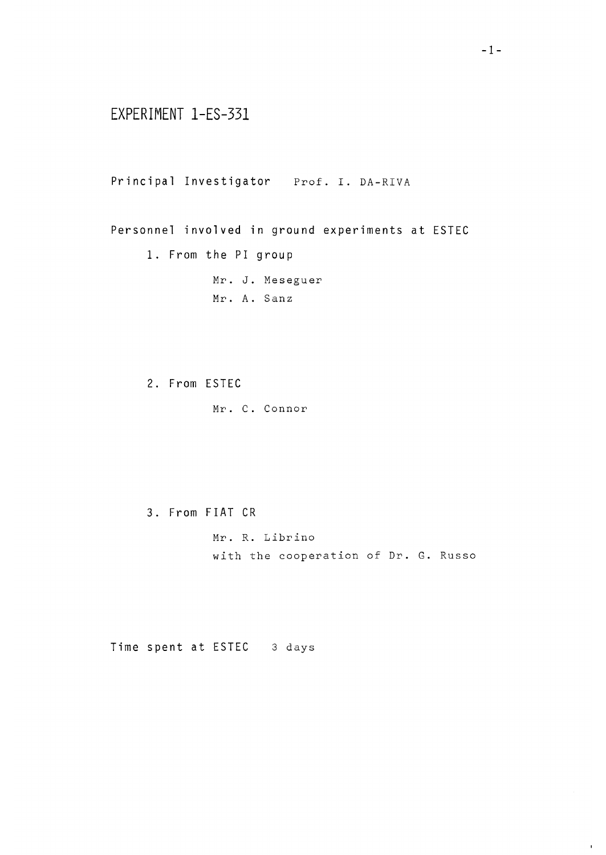# EXPERIMENT l-ES-331

Principal Investigator Prof. I. DA-RIVA

Personnel involved in ground experiments at ESTEC

1. From the PI group

Mr. J. Meseguer Mr. A. Sanz

2. From ESTEC

Mr. C. Connor

3. From FIAT CR

Mr. R. Librino with the cooperation of Dr. G. Russo

Time spent at ESTEC 3 days

 $\bar{\mathbf{r}}$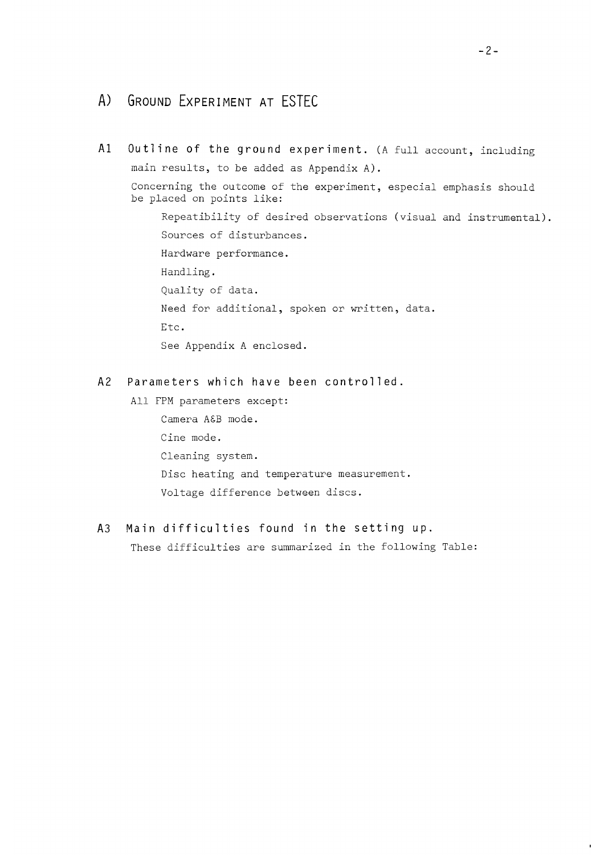# A) GROUND EXPERIMENT AT ESTEC

Al Outline of the ground experiment. (A full account, including main results, to be added as Appendix A). Concerning the outcome of the experiment, especial emphasis should be placed on points like: Repeatibility of desired observations (visual and instrumental). Sources of disturbances. Hardware performance. Handling. Quality of data. Need for additional, spoken or written, data. Etc. See Appendix A enclosed.

#### A2 Parameters which have been controlled.

All FPM parameters except: Camera A£B mode. Cine mode. Cleaning system. Disc heating and temperature measurement. Voltage difference between discs.

A3 Main difficulties found in the setting up. These difficulties are summarized in the following Table:

 $\mathbf{I}$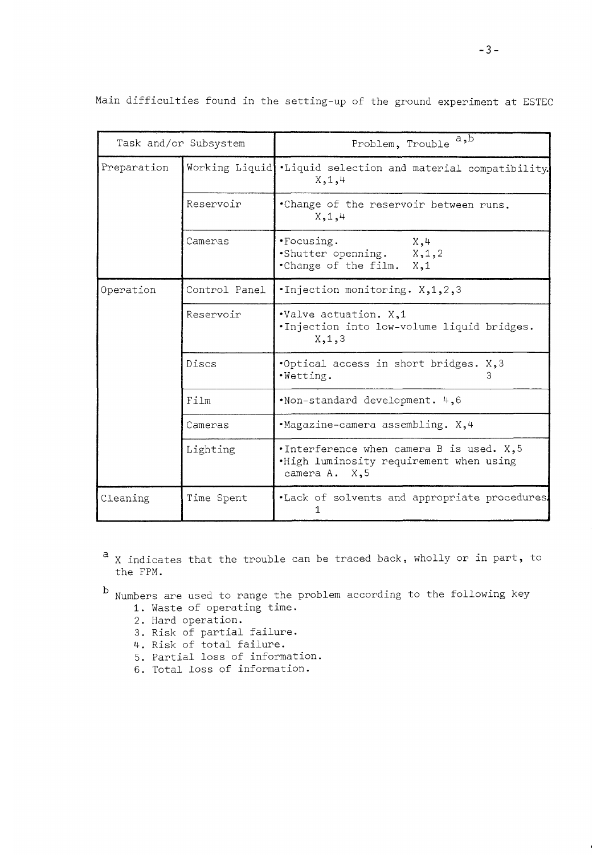|             | Task and/or Subsystem | Problem, Trouble $\overline{a,b}$                                                                         |
|-------------|-----------------------|-----------------------------------------------------------------------------------------------------------|
| Preparation | Working Liquid        | .Liquid selection and material compatibility.<br>X, 1, 4                                                  |
|             | Reservoir             | .Change of the reservoir between runs.<br>X, 1, 4                                                         |
|             | Cameras               | · Focusing.<br>X, 4<br>Shutter openning. X, 1, 2<br>.Change of the film. X,1                              |
| Operation   | Control Panel         | .Injection monitoring. X, 1, 2, 3                                                                         |
|             | Reservoir             | .Valve actuation. X,1<br>.Injection into low-volume liquid bridges.<br>X, 1, 3                            |
|             | Discs                 | .Optical access in short bridges. X, 3<br>.Wetting.<br>З                                                  |
|             | Film                  | .Non-standard development. 4,6                                                                            |
|             | Cameras               | .Magazine-camera assembling. X,4                                                                          |
|             | Lighting              | . Interference when camera B is used. $X$ , 5<br>.High luminosity requirement when using<br>camera A. X,5 |
| Cleaning    | Time Spent            | .Lack of solvents and appropriate procedures.<br>1.                                                       |

Main difficulties found in the setting-up of the ground experiment at ESTEC

- a X indicates that the trouble can be traced back, wholly or in part, to the FPM.
- 
- $b$  Numbers are used to range the problem according to the following key
	- 1. Waste of operating time.
	- 2. Hard operation.
	- 3. Risk of partial failure.
	- 4. Risk of total failure.
	- 5. Partial loss of information.
	- 6. Total loss of information.

 $\mathbf{r}$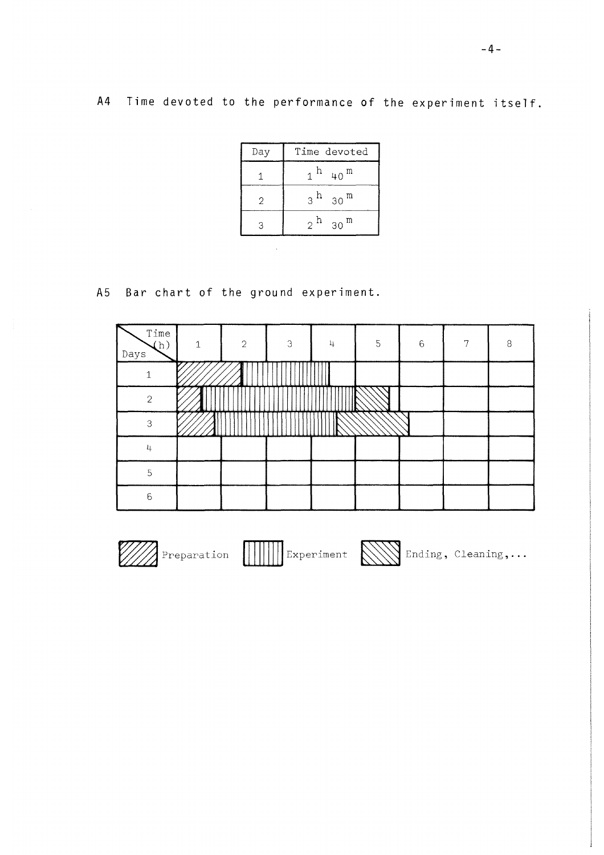A4 Time devoted to the performance of the experiment itself,

| Day | Time devoted       |
|-----|--------------------|
|     | m<br>40            |
| 2   | 3 h<br>m<br>30     |
|     | $2^{h}$<br>m<br>30 |

A5 Bar chart of the ground experiment

| Time<br>(h)<br>Days | 1 | $\overline{2}$ | 3 | 4 | 5 | $6\phantom{1}6$ | 7 | 8 |
|---------------------|---|----------------|---|---|---|-----------------|---|---|
|                     |   |                |   |   |   |                 |   |   |
| $\overline{2}$      |   |                |   |   |   |                 |   |   |
| 3                   |   |                |   |   |   |                 |   |   |
| 4                   |   |                |   |   |   |                 |   |   |
| 5                   |   |                |   |   |   |                 |   |   |
| 6                   |   |                |   |   |   |                 |   |   |

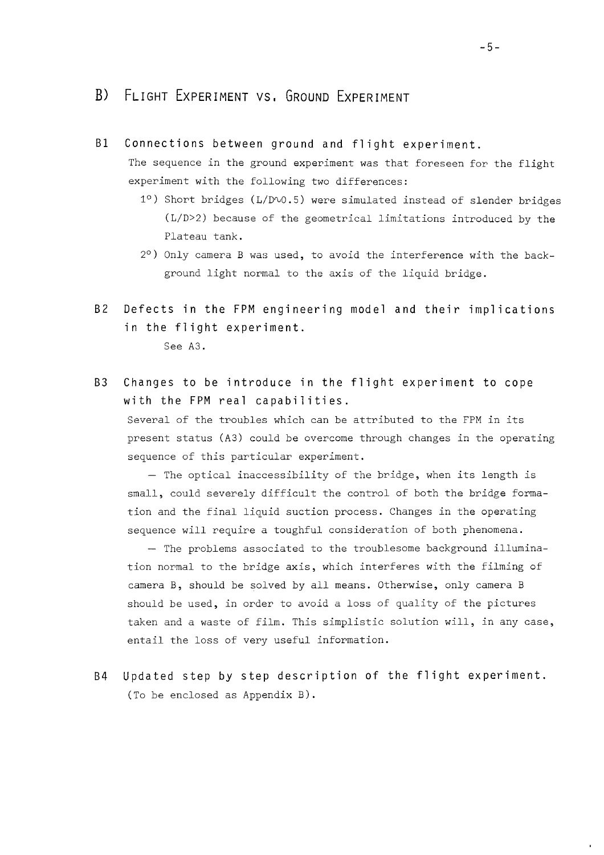## B) FLIGHT EXPERIMENT VS. GROUND EXPERIMENT

Bl Connections between ground and flight experiment. The sequence in the ground experiment was that foreseen for the flight

experiment with the following two differences:

- 1°) Short bridges (L/D^0.5) were simulated instead of slender bridges (L/D>2) because of the geometrical limitations introduced by the Plateau tank.
- 2°) Only camera B was used, to avoid the interference with the background light normal to the axis of the liquid bridge.
- B2 Defects in the FPM engineering model and their implications in the flight experiment.

See A3.

B3 Changes to be introduce in the flight experiment to cope with the FPM real capabilities.

Several of the troubles which can be attributed to the FPM in its present status (A3) could be overcome through changes in the operating sequence of this particular experiment.

— The optical inaccessibility of the bridge, when its length is small, could severely difficult the control of both the bridge formation and the final liquid suction process. Changes in the operating sequence will require a toughful consideration of both phenomena.

— The problems associated to the troublesome background illumination normal to the bridge axis, which interferes with the filming of camera B, should be solved by all means. Otherwise, only camera B should be used, in order to avoid a loss of quality of the pictures taken and a waste of film. This simplistic solution will, in any case, entail the loss of very useful information.

B4 Updated step by step description of the flight experiment. (To be enclosed as Appendix B).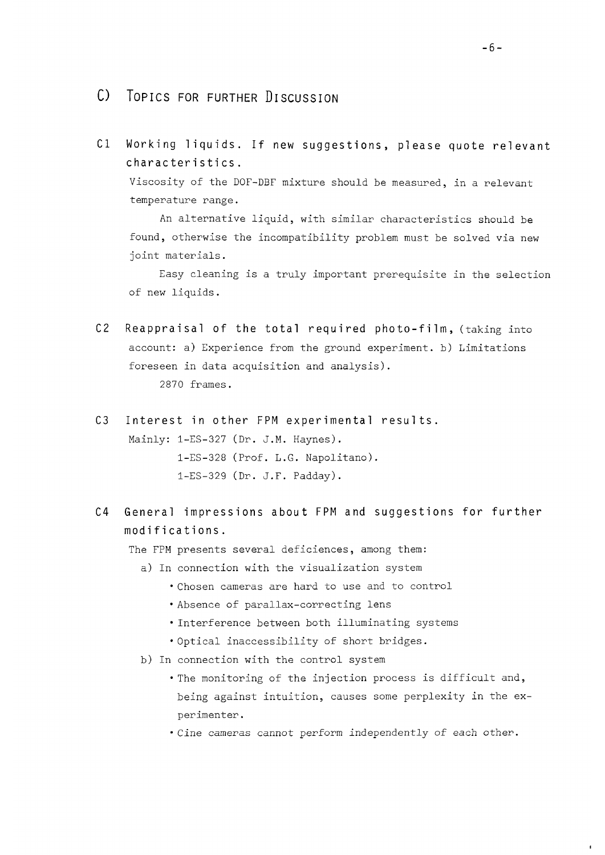- 0 TOPICS FOR FURTHER DISCUSSION
- Cl Working liquids. If new suggestions, please quote relevant characteristics.

Viscosity of the DOF-DBF mixture should be measured, in a relevant temperature range.

An alternative liquid, with similar characteristics should be found, otherwise the incompatibility problem must be solved via new joint materials.

Easy cleaning is a truly important prerequisite in the selection of new liquids.

- $C2$  Reappraisal of the total required photo-film, (taking into account: a) Experience from the ground experiment, b) Limitations foreseen in data acquisition and analysis). 2870 frames.
- C3 Interest in other FPM experimental results. Mainly: 1-ES-327 (Dr. J.M. Haynes). l-ES-328 (Prof. L.G. Napolitano). l-ES-329 (Dr. J.F. Padday).
- C4 General impressions about FPM and suggestions for further modifications.

The FPM presents several deficiences, among them:

- a) In connection with the visualization system
	- Chosen cameras are hard to use and to control
	- Absence of parallax-correcting lens
	- Interference between both illuminating systems
	- •Optical inaccessibility of short bridges.
- b) In connection with the control system
	- The monitoring of the injection process is difficult and, being against intuition, causes some perplexity in the experimenter.
	- Cine cameras cannot perform independently of each other.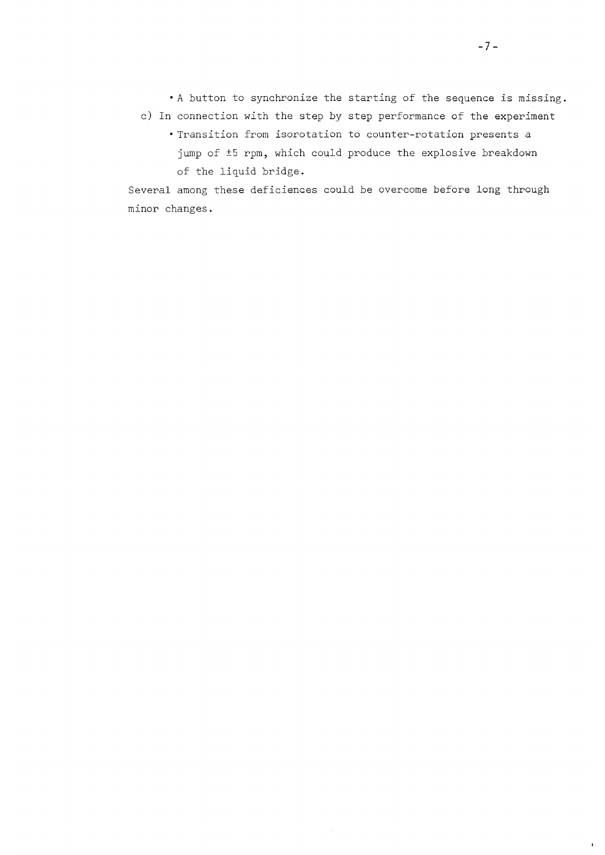•A button to synchronize the starting of the sequence is missing.

- c) In connection with the step by step performance of the experiment
	- Transition from isorotation to counter-rotation presents a jump of ±5 rpm, which could produce the explosive breakdown of the liquid bridge.

Several among these deficiences could be overcome before long through minor changes.

 $\blacksquare$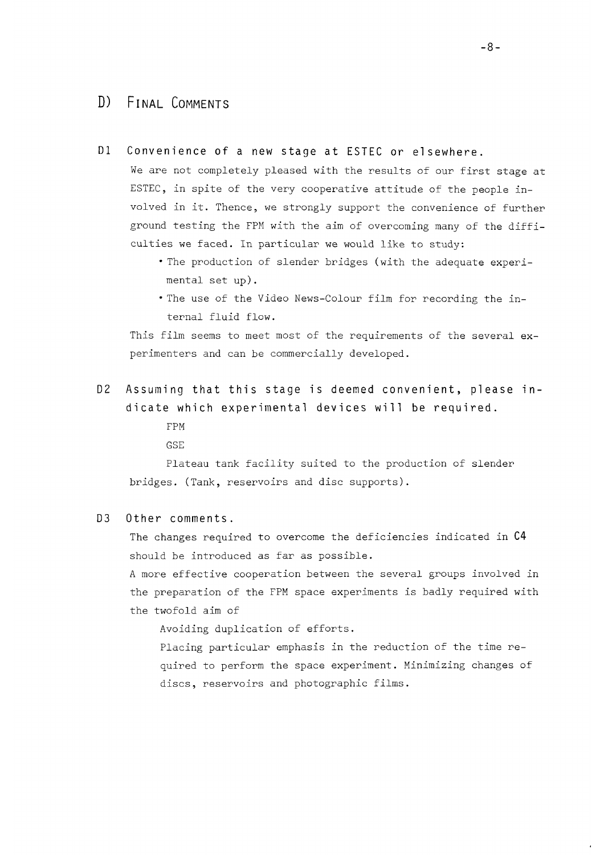### D) FINAL COMMENTS

Dl Convenience of a new stage at ESTEC or elsewhere.

We are not completely pleased with the results of our first stage at ESTEC, in spite of the very cooperative attitude of the people involved in it. Thence, we strongly support the convenience of further ground testing the FPM with the aim of overcoming many of the difficulties we faced. In particular we would like to study:

- The production of slender bridges (with the adequate experimental set up).
- The use of the Video News-Colour film for recording the internal fluid flow.

This film seems to meet most of the requirements of the several experimenters and can be commercially developed.

D2 Assuming that this stage is deemed convenient, please indicate which experimental devices will be required.

> FPM GSE

Plateau tank facility suited to the production of slender bridges. (Tank, reservoirs and disc supports).

#### D3 Other comments.

The changes required to overcome the deficiencies indicated in C4 should be introduced as far as possible.

A more effective cooperation between the several groups involved in the preparation of the FPM space experiments is badly required with the twofold aim of

Avoiding duplication of efforts.

Placing particular emphasis in the reduction of the time required to perform the space experiment. Minimizing changes of discs, reservoirs and photographic films.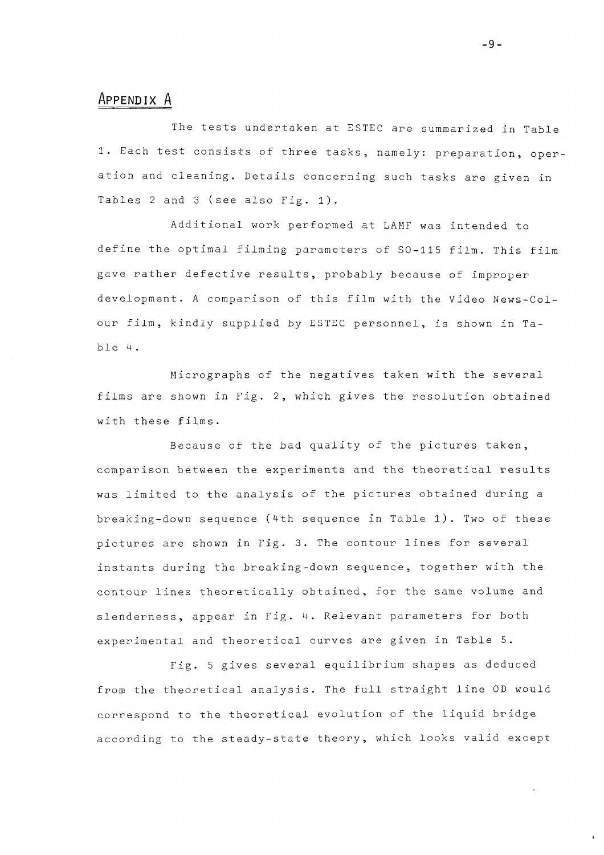#### **APPENDIX A**

The tests undertaken at ESTEC are summarized in Table 1. Each test consists of three tasks, namely: preparation, operation and cleaning. Details concerning such tasks are given in Tables 2 and 3 (see also Fig. 1) .

Additional work performed at LAMF was intended to define the optimal filming parameters of SO-115 film. This film gave rather defective results, probably because of improper development. A comparison of this film with the Video News-Colour film, kindly supplied by ESTEC personnel, is shown in Table 4 .

Micrographs of the negatives taken with the several films are shown in Fig. 2, which gives the resolution obtained with these films.

Because of the bad quality of the pictures taken, comparison between the experiments and the theoretical results was limited to the analysis of the pictures obtained during a breaking-down sequence (4th sequence in Table 1). Two of these pictures are shown in Fig. 3. The contour lines for several instants during the breaking-down sequence, together with the contour lines theoretically obtained, for the same volume and slenderness, appear in Fig. 4. Relevant parameters for both experimental and theoretical curves are given in Table 5.

Fig. 5 gives several equilibrium shapes as deduced from the theoretical analysis. The full straight line OD would correspond to the theoretical evolution of the liquid bridge according to the steady-state theory, which looks valid except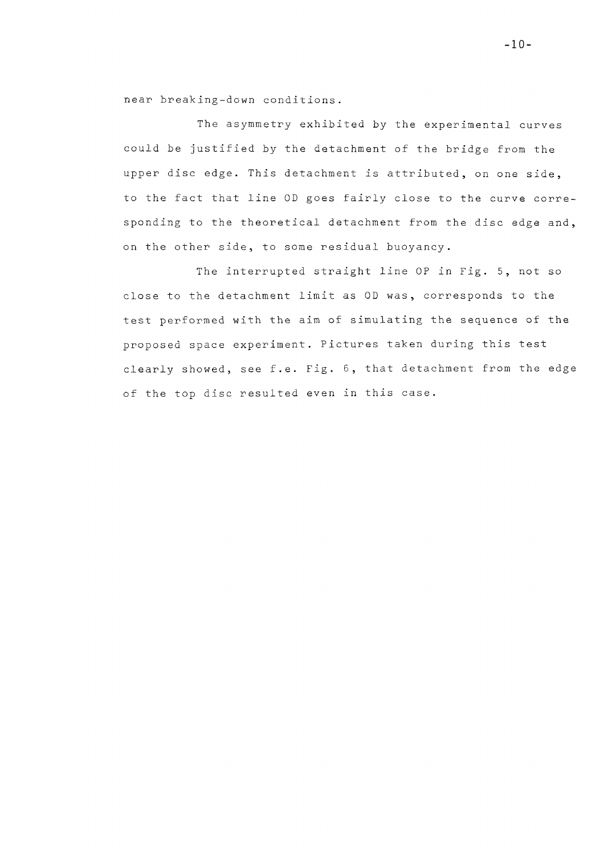near breaking-down conditions.

The asymmetry exhibited by the experimental curves could be justified by the detachment of the bridge from the upper disc edge. This detachment is attributed, on one side, to the fact that line OD goes fairly close to the curve corre sponding to the theoretical detachment from the disc edge and, on the other side, to some residual buoyancy.

The interrupted straight line OP in Fig. 5, not so close to the detachment limit as OD was, corresponds to the test performed with the aim of simulating the sequence of the proposed space experiment. Pictures taken during this test clearly showed, see f.e. Fig. 6, that detachment from the edge of the top disc resulted even in this case.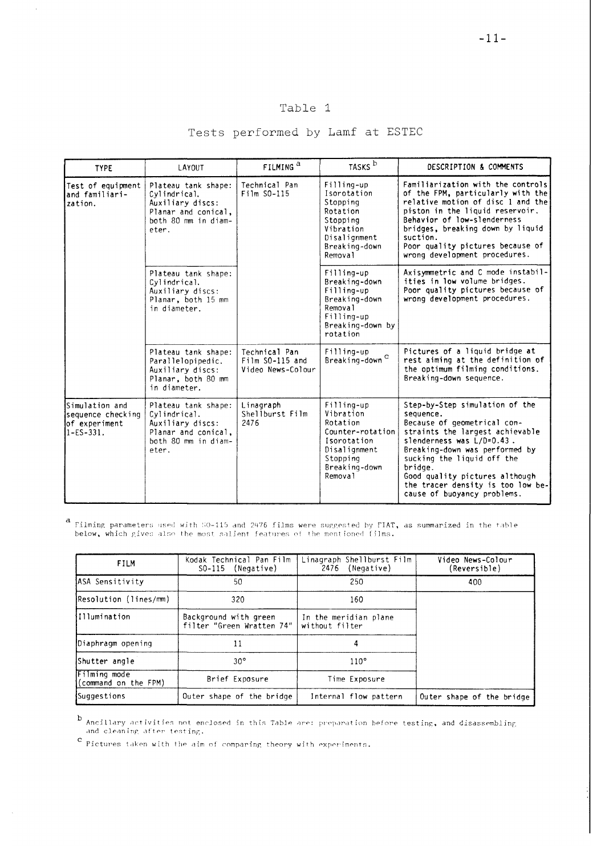#### Table 1

#### Tests performed by Lamf at ESTEC

| <b>TYPE</b>                                                             | LAYOUT                                                                                                         | FILMING <sup>a</sup>                                    | TASKS <sup>b</sup>                                                                                                             | DESCRIPTION & COMMENTS                                                                                                                                                                                                                                                                                                      |
|-------------------------------------------------------------------------|----------------------------------------------------------------------------------------------------------------|---------------------------------------------------------|--------------------------------------------------------------------------------------------------------------------------------|-----------------------------------------------------------------------------------------------------------------------------------------------------------------------------------------------------------------------------------------------------------------------------------------------------------------------------|
| Test of equipment<br>and familiari-<br>zation.                          | Plateau tank shape:<br>Cylindrical.<br>Auxiliary discs:<br>Planar and conical,<br>both 80 mm in diam-<br>eter. | Technical Pan<br>Film S0-115                            | Filling-up<br>Isorotation<br>Stopping<br>Rotation<br>Stopping<br>Vibration<br>Disalignment<br>Breaking-down<br>Removal         | Familiarization with the controls<br>of the FPM, particularly with the<br>relative motion of disc 1 and the<br>piston in the liquid reservoir.<br>Behavior of low-slenderness<br>bridges, breaking down by liquid<br>suction.<br>Poor quality pictures because of<br>wrong development procedures.                          |
|                                                                         | Plateau tank shape:<br>Cylindrical.<br>Auxiliary discs:<br>Planar, both 15 mm<br>in diameter.                  |                                                         | Filling-up<br>Breaking-down<br>Filling-up<br>Breaking-down<br>Removal<br>Filling-up<br>Breaking-down by<br>rotation            | Axisymmetric and C mode instabil-<br>ities in low volume bridges.<br>Poor quality pictures because of<br>wrong development procedures.                                                                                                                                                                                      |
|                                                                         | Plateau tank shape:<br>Parallelopipedic.<br>Auxiliary discs:<br>Planar, both 80 mm<br>in diameter.             | Technical Pan<br>$Film$ SO-115 and<br>Video News-Colour | Filling-up<br>${\tt Breaking-down}^{\mathbf{C}}$                                                                               | Pictures of a liquid bridge at<br>rest aiming at the definition of<br>the optimum filming conditions.<br>Breaking-down sequence.                                                                                                                                                                                            |
| Simulation and<br>sequence checking<br>of experiment<br>$1 - ES - 331.$ | Plateau tank shape:<br>Cylindrical.<br>Auxiliary discs:<br>Planar and conical.<br>both 80 mm in diam-<br>eter. | Linagraph<br>Shellburst Film<br>2476                    | Filling-up<br>Vibration<br>Rotation<br>Counter-rotation<br>Isorotation<br>Disalignment<br>Stopping<br>Breaking-down<br>Removal | Step-by-Step simulation of the<br>sequence.<br>Because of geometrical con-<br>straints the largest achievable<br>slenderness was L/D=0.43.<br>Breaking-down was performed by<br>sucking the liquid off the<br>bridge.<br>Good quality pictures although<br>the tracer density is too low be-<br>cause of buoyancy problems. |

Filming parameters used with SO-115 and 2476 films were suggested by FIAT, as summarized in the table below, which gives also the most salient features oj the mentioned films.

| <b>FILM</b>                          | Kodak Technical Pan Film<br>$SO-115$ (Negative)    | Linagraph Shellburst Film<br>2476<br>(Negative) | Video News-Colour<br>(Reversible) |
|--------------------------------------|----------------------------------------------------|-------------------------------------------------|-----------------------------------|
| ASA Sensitivity                      | 50                                                 | 250                                             | 400                               |
| Resolution (lines/mm)                | 320                                                | 160                                             |                                   |
| Illumination                         | Background with green<br>filter "Green Wratten 74" | In the meridian plane<br>without filter         |                                   |
| Diaphragm opening                    | 11                                                 | 4                                               |                                   |
| Shutter angle                        | $30^\circ$                                         | 110°                                            |                                   |
| Filming mode<br>(command on the FPM) | Brief Exposure                                     | Time Exposure                                   |                                   |
| Suggestions                          | Outer shape of the bridge                          | Internal flow pattern                           | Outer shape of the bridge         |

Ancillary activities not enclosed in this Table are: preparation before t<mark>esting, and disa</mark>ssembling .<br>and cleaning after testing.

Pictures taken with the aim of comparing theory with experiments.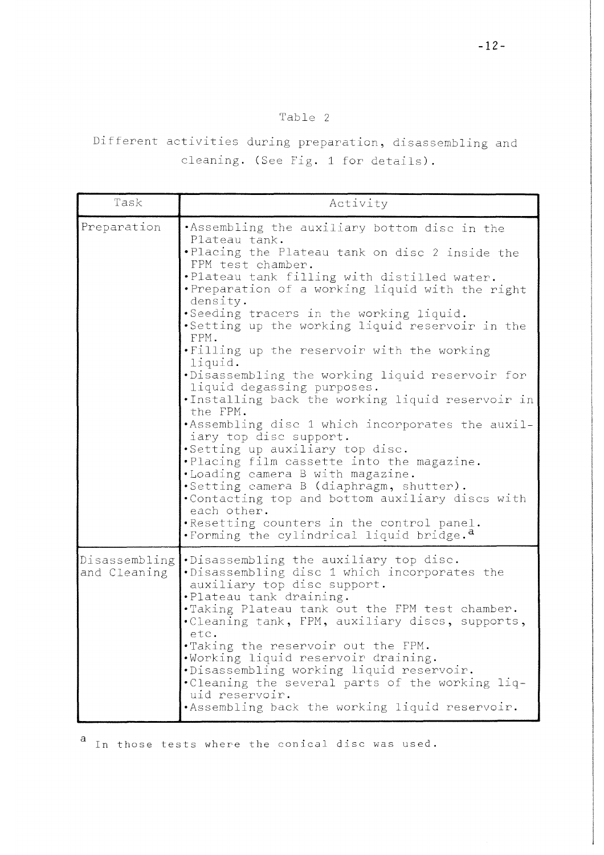### Table 2

Different activities during preparation, disassembling and cleaning. (See Fig. 1 for details).

| Task                          | Activity                                                                                                                                                                                                                                                                                                                                                                                                                                                                                                                                                                                                                                                                                                                                                                                                                                                                                                                                                                                 |
|-------------------------------|------------------------------------------------------------------------------------------------------------------------------------------------------------------------------------------------------------------------------------------------------------------------------------------------------------------------------------------------------------------------------------------------------------------------------------------------------------------------------------------------------------------------------------------------------------------------------------------------------------------------------------------------------------------------------------------------------------------------------------------------------------------------------------------------------------------------------------------------------------------------------------------------------------------------------------------------------------------------------------------|
| Preparation                   | .Assembling the auxiliary bottom disc in the<br>Plateau tank.<br>.Placing the Plateau tank on disc 2 inside the<br>FPM test chamber.<br>.Plateau tank filling with distilled water.<br>. Preparation of a working liquid with the right<br>density.<br>.Seeding tracers in the working liquid.<br>.Setting up the working liquid reservoir in the<br>FPM.<br>.Filling up the reservoir with the working<br>liquid.<br>.Disassembling the working liquid reservoir for<br>liquid degassing purposes.<br>.Installing back the working liquid reservoir in<br>the FPM.<br>.Assembling disc 1 which incorporates the auxil-<br>iary top disc support.<br>.Setting up auxiliary top disc.<br>.Placing film cassette into the magazine.<br>.Loading camera B with magazine.<br>.Setting camera B (diaphragm, shutter).<br>.Contacting top and bottom auxiliary discs with<br>each other.<br>.Resetting counters in the control panel.<br>. Forming the cylindrical liquid bridge. <sup>a</sup> |
| Disassembling<br>and Cleaning | .Disassembling the auxiliary top disc.<br>.Disassembling disc 1 which incorporates the<br>auxiliary top disc support.<br>.Plateau tank draining.<br>.Taking Plateau tank out the FPM test chamber.<br>.Cleaning tank, FPM, auxiliary discs, supports,<br>etc.<br>.Taking the reservoir out the FPM.<br>.Working liquid reservoir draining.<br>.Disassembling working liquid reservoir.<br>.Cleaning the several parts of the working liq-<br>uid reservoir.<br>.Assembling back the working liquid reservoir.                                                                                                                                                                                                                                                                                                                                                                                                                                                                            |

In those tests where the conical disc was used.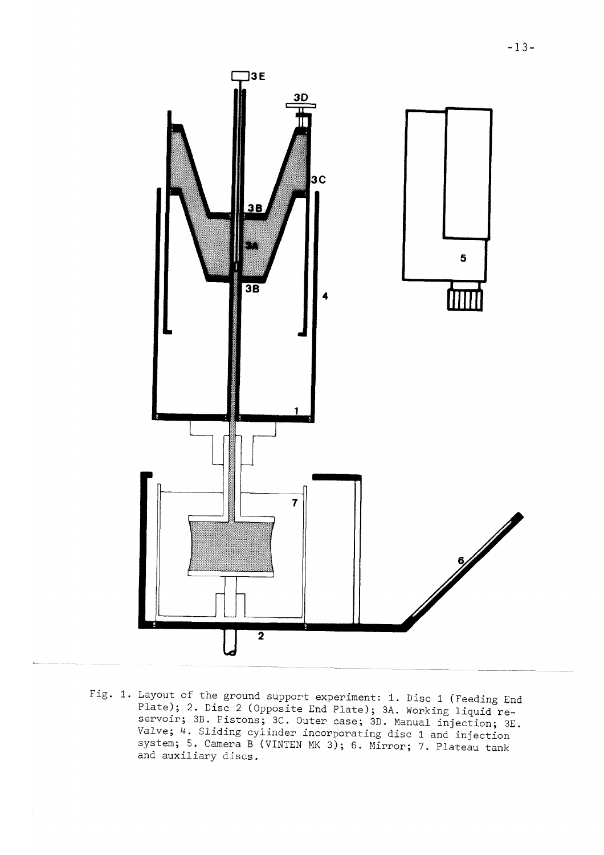

Fig. 1. Layout of the ground support experiment: 1. Disc 1 (Feeding End Plate); 2. Disc 2 (Opposite End Plate); 3A. Working liquid reservoir; 3B. Pistons; 3C. Outer case; 3D. Manual injection; 3E. Valve; 4. Sliding cylinder incorporating disc 1 and injection system; 5. Camera B (VINTEN MK 3); 6. Mirror; 7. Plateau tank and auxiliary discs.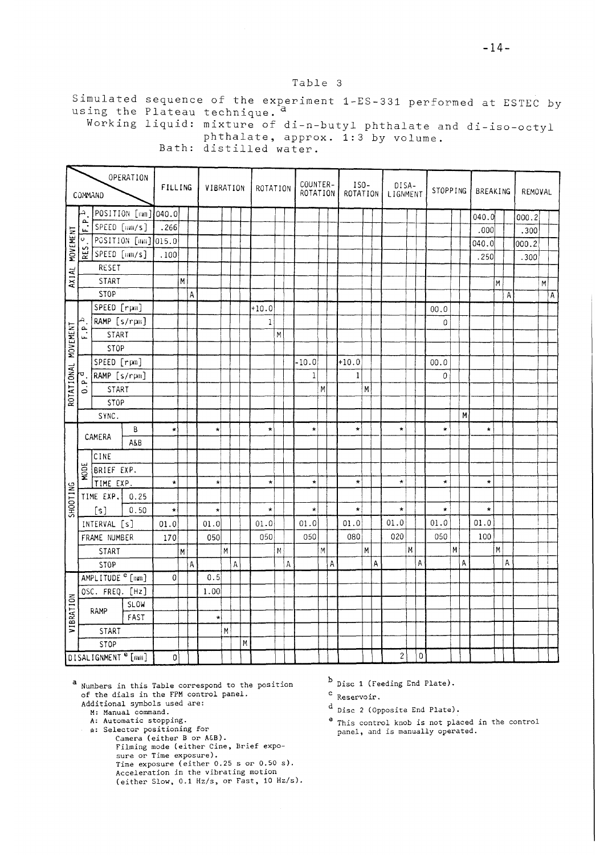#### Table 3

Simulated sequence of the experiment 1-ES-331 performed at ESTEC by using the Plateau technique. <sup>a</sup>

Working liquid: mixture of di-n-butyl phthalate and di-iso-octyl phthalate, approx. 1:3 by volume. Bath: distilled water.

|                     | COMMAND       |                                | OPERATION           | FILLING |             | VIBRATION  |             |   |         | ROTATION    |                |   | COUNTER-<br>ROTATION |                         |   | $ISO-$<br>ROTATION |   |   | DISA-<br>LIGNMENT |           | STOPPING |   |   | BREAKING |    |   | REMOVAL |    |                |
|---------------------|---------------|--------------------------------|---------------------|---------|-------------|------------|-------------|---|---------|-------------|----------------|---|----------------------|-------------------------|---|--------------------|---|---|-------------------|-----------|----------|---|---|----------|----|---|---------|----|----------------|
|                     |               |                                | POSITION [mm] 040.0 |         |             |            |             |   |         |             |                |   |                      |                         |   |                    |   |   |                   |           |          |   |   | 040.0    |    |   | 000.2   |    |                |
|                     | تم<br>μ.      | SPEED [um/s]                   |                     | .266    |             |            |             |   |         |             |                |   |                      |                         |   |                    |   |   |                   |           |          |   |   | .000     |    |   | .300    |    |                |
| AXIAL MOVEMENT      | $\circ$ .     |                                | POSITION [mm] 015.0 |         |             |            |             |   |         |             |                |   |                      |                         |   |                    |   |   |                   |           |          |   |   | 040.0    |    |   | 000.2   |    |                |
|                     | RES.          | SPEED [am/s]                   |                     | .100    |             |            |             |   |         |             |                |   |                      |                         |   |                    |   |   |                   |           |          |   |   | .250     |    |   | .300    |    |                |
|                     |               | RESET                          |                     |         |             |            |             |   |         |             |                |   |                      |                         |   |                    |   |   |                   |           |          |   |   |          |    |   |         |    |                |
|                     |               | START                          |                     |         | M           |            |             |   |         |             |                |   |                      |                         |   |                    |   |   |                   |           |          |   |   |          | lм |   |         | M. |                |
|                     |               | STOP                           |                     |         | $\mathsf A$ |            |             |   |         |             |                |   |                      |                         |   |                    |   |   |                   |           |          |   |   |          |    | А |         |    | $\overline{A}$ |
|                     |               | SPEED [rpm]                    |                     |         |             |            |             |   | $+10.0$ |             |                |   |                      |                         |   |                    |   |   |                   |           | 00.0     |   |   |          |    |   |         |    |                |
|                     | ₽             | RAMP [s/rpm]                   |                     |         |             |            |             |   |         | $\mathbf 1$ |                |   |                      |                         |   |                    |   |   |                   |           | 0        |   |   |          |    |   |         |    |                |
| ROTATIONAL MOVEMENT | نم<br>نا      | <b>START</b>                   |                     |         |             |            |             |   |         |             | $\overline{M}$ |   |                      |                         |   |                    |   |   |                   |           |          |   |   |          |    |   |         |    |                |
|                     |               | STOP                           |                     |         |             |            |             |   |         |             |                |   |                      |                         |   |                    |   |   |                   |           |          |   |   |          |    |   |         |    |                |
|                     |               | SPEED [rpm]                    |                     |         |             |            |             |   |         |             |                |   | $-10.0$              |                         |   | $+10.0$            |   |   |                   |           | 00.0     |   |   |          |    |   |         |    |                |
|                     | A             | RAMP [s/rpm]                   |                     |         |             |            |             |   |         |             |                |   | $\mathbf{1}$         |                         |   | $\mathbf{1}$       |   |   |                   |           | 0        |   |   |          |    |   |         |    |                |
|                     | $\frac{a}{c}$ | START                          |                     |         |             |            |             |   |         |             |                |   |                      | M                       |   |                    | M |   |                   |           |          |   |   |          |    |   |         |    |                |
|                     |               | STOP                           |                     |         |             |            |             |   |         |             |                |   |                      |                         |   |                    |   |   |                   |           |          |   |   |          |    |   |         |    |                |
|                     |               | SYNC.                          |                     |         |             |            |             |   |         |             |                |   |                      |                         |   |                    |   |   |                   |           |          |   | M |          |    |   |         |    |                |
|                     |               |                                | B                   | $\star$ |             | $\star$    |             |   |         | $\star$     |                |   | $\star$              |                         |   | $\star$            |   |   | $\star$           |           | $\star$  |   |   | $\star$  |    |   |         |    |                |
|                     |               | CAMERA                         | A&B                 |         |             |            |             |   |         |             |                |   |                      |                         |   |                    |   |   |                   |           |          |   |   |          |    |   |         |    |                |
|                     |               | CINE                           |                     |         |             |            |             |   |         |             |                |   |                      |                         |   |                    |   |   |                   |           |          |   |   |          |    |   |         |    |                |
|                     | <b>HODE</b>   | BRIEF EXP.                     |                     |         |             |            |             |   |         |             |                |   |                      |                         |   |                    |   |   |                   |           |          |   |   |          |    |   |         |    |                |
|                     |               | TIME EXP.                      |                     | $\star$ |             | $\star$    |             |   |         | $\star$     |                |   | $\star$              |                         |   | $\star$            |   |   | $\star$           |           | $\star$  |   |   | $\star$  |    |   |         |    |                |
| SHOOTING            |               | TIME EXP.                      | 0.25                |         |             |            |             |   |         |             |                |   |                      |                         |   |                    |   |   |                   |           |          |   |   |          |    |   |         |    |                |
|                     |               | [s]                            | 0.50                | $\star$ |             | $\star$    |             |   |         | $\star$     |                |   | $\star$              |                         |   | $\star$            |   |   | $\star$           |           | $\star$  |   |   | $\star$  |    |   |         |    |                |
|                     |               | INTERVAL [s]                   |                     | 01.0    |             | 01.0       |             |   |         | 01.0        |                |   | 01.0                 |                         |   | 01.0               |   |   | 01.0              |           | 01.0     |   |   | 01.0     |    |   |         |    |                |
|                     |               | FRAME NUMBER                   |                     | 170     |             | 050        |             |   |         | 050         |                |   | 050                  |                         |   | 080                |   |   | 020               |           | 050      |   |   | 100      |    |   |         |    |                |
|                     |               | START                          |                     |         | M           |            | $\,$ M $\,$ |   |         |             | M              |   |                      | $\overline{\mathsf{M}}$ |   |                    | M |   |                   | М         |          | M |   |          | M  |   |         |    |                |
|                     |               | <b>STOP</b>                    |                     |         | A           |            |             | Α |         |             |                | Α |                      |                         | A |                    |   | A |                   | A         |          |   | A |          |    | A |         |    |                |
|                     |               | AMPLITUDE <sup>e</sup> [mm]    |                     | $\circ$ |             | 0.5        |             |   |         |             |                |   |                      |                         |   |                    |   |   |                   |           |          |   |   |          |    |   |         |    |                |
|                     |               | OSC. FREQ. [Hz]                |                     |         |             | 1.00       |             |   |         |             |                |   |                      |                         |   |                    |   |   |                   |           |          |   |   |          |    |   |         |    |                |
| VIBRATION           |               | RAMP                           | <b>SLOW</b>         |         |             |            |             |   |         |             |                |   |                      |                         |   |                    |   |   |                   |           |          |   |   |          |    |   |         |    |                |
|                     |               |                                | FAST                |         |             | $^{\star}$ |             |   |         |             |                |   |                      |                         |   |                    |   |   |                   |           |          |   |   |          |    |   |         |    |                |
|                     |               | START                          |                     |         |             |            | M           |   |         |             |                |   |                      |                         |   |                    |   |   |                   |           |          |   |   |          |    |   |         |    |                |
|                     |               | <b>STOP</b>                    |                     |         |             |            |             |   | M       |             |                |   |                      |                         |   |                    |   |   |                   |           |          |   |   |          |    |   |         |    |                |
|                     |               | DISALIGNMENT <sup>e</sup> [mm] |                     | 0       |             |            |             |   |         |             |                |   |                      |                         |   |                    |   |   | $\sqrt{2}$        | $\pmb{0}$ |          |   |   |          |    |   |         |    |                |

<sup>a</sup> Numbers in this Table correspond to the position of the dials in the FPM control panel.

- Additional symbols used are:
	- M: Manual command.
- A: Automatic stopping. \*: Selector positioning for
	- Camera (either B or A&B).

Filming mode (either Cine, Brief exposure or Time exposure). Time exposure (either 0.25 s or 0.50 s). Acceleration in the vibrating motion (either Slow, 0.1 Hz/s, or Fast, 10 Hz/s)

- $<sup>b</sup>$  Disc 1 (Feeding End Plate).</sup>
- $c$  Reservoir.
- $d$  Disc 2 (Opposite End Plate).
- This control knob is not placed in the control panel, and is manually operated.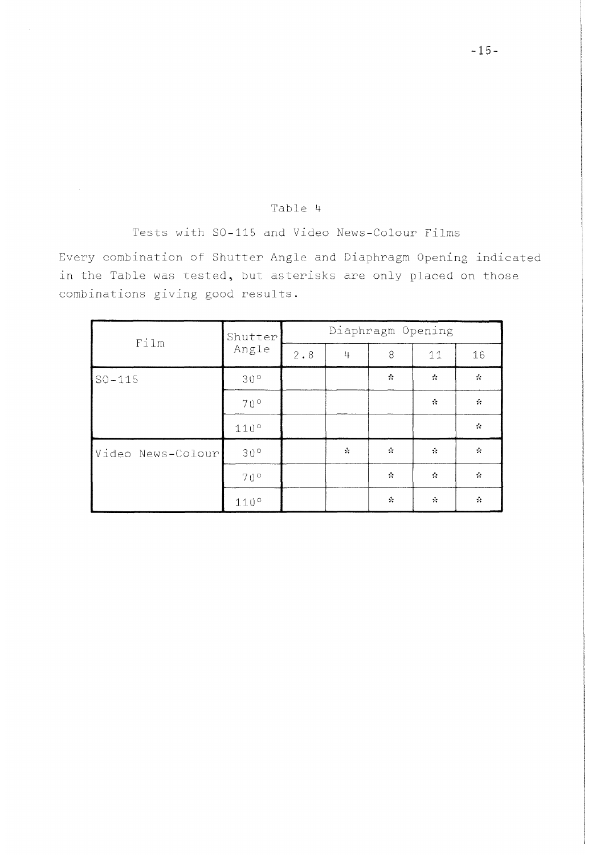#### Table *<4*

Tests with SO-115 and Video News-Colour Films

Every combination of Shutter Angle and Diaphragm Opening indicated in the Table was tested, but asterisks are only placed on those combinations giving good results.

|                   | Shutter      |             | Diaphragm Opening |               |               |                  |  |  |  |  |  |  |  |  |  |
|-------------------|--------------|-------------|-------------------|---------------|---------------|------------------|--|--|--|--|--|--|--|--|--|
| Film              | Angle        | $2 \cdot 8$ | 4                 | 8             | 11            | 16               |  |  |  |  |  |  |  |  |  |
| $SO-115$          | $30^{\circ}$ |             |                   | $\mathcal{L}$ | $\mathcal{C}$ | $\sigma_{\rm c}$ |  |  |  |  |  |  |  |  |  |
|                   | 70°          |             |                   |               | $\Lambda$     | $\mathcal{N}$    |  |  |  |  |  |  |  |  |  |
|                   | 110°         |             |                   |               |               | $\mathcal{N}$    |  |  |  |  |  |  |  |  |  |
| Video News-Colour | $30^{\circ}$ |             | $\mathcal{N}$     | $\mathcal{N}$ | $\mathcal{R}$ | $\mathcal{N}$    |  |  |  |  |  |  |  |  |  |
|                   | $70^{\circ}$ |             |                   | $\mathcal{N}$ | $\mathcal{L}$ | $\mathcal{R}$    |  |  |  |  |  |  |  |  |  |
|                   | 110°         |             |                   | $\mathcal{R}$ | $\mathcal{G}$ | $\mathcal{L}$    |  |  |  |  |  |  |  |  |  |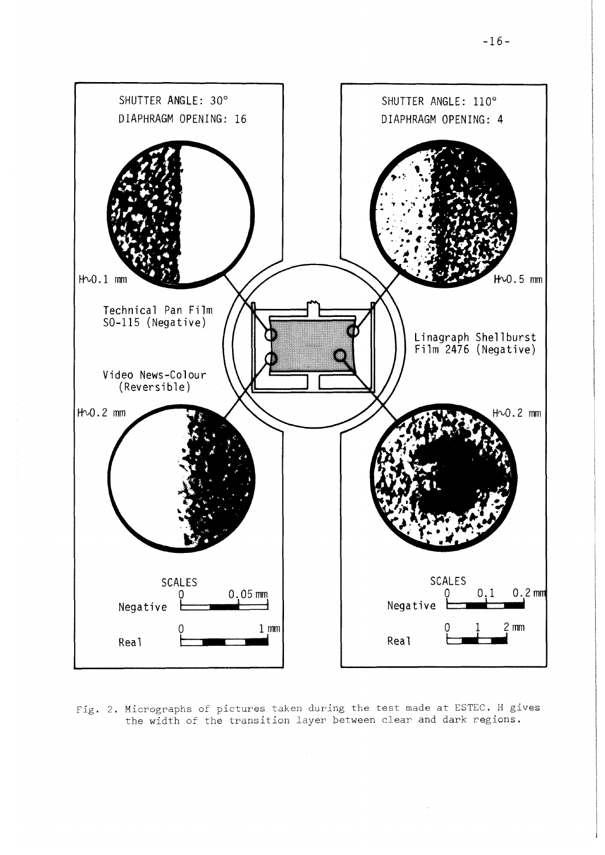

Fig. 2. Micrographs of pictures taken during the test made at ESTEC. H gives the width of the transition layer between clear and dark regions.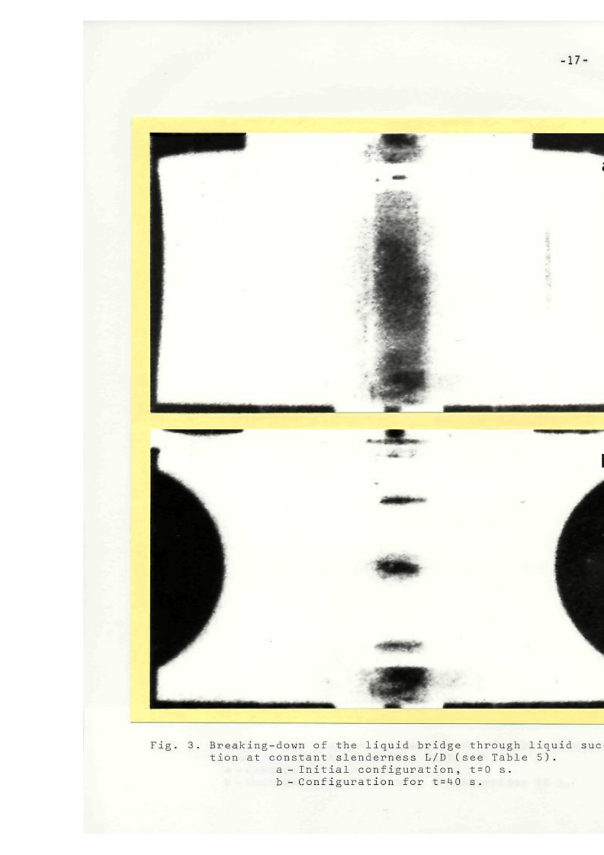

Fig. 3. Breaking-down of the liquid bridge thro tion at constant slenderness L/D (see T a - Initial configuration, t=0 a b - Configuration for t=40 s.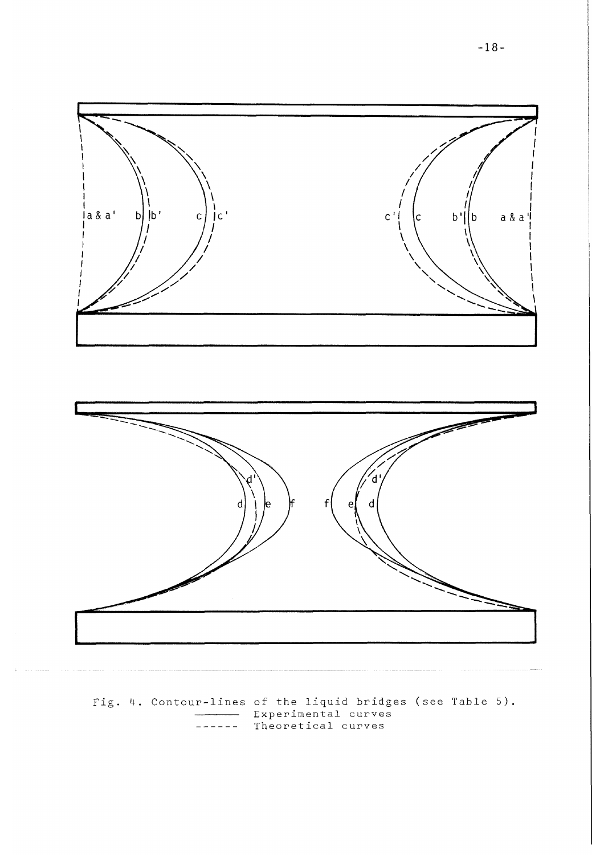



Fig. 4. Contour-lines of the liquid bridges (see Table 5). **Experimental curves** Theoretical curves  $- - -$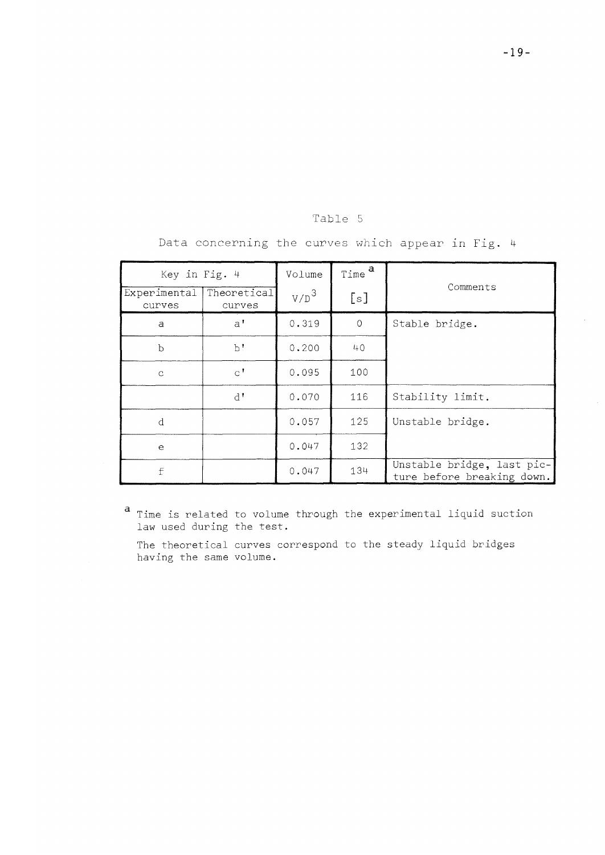| $\sim$<br>w |  |
|-------------|--|
|-------------|--|

| Key in Fig. 4          |                        | Volume  | Time <sup>a</sup> |                                                          |
|------------------------|------------------------|---------|-------------------|----------------------------------------------------------|
| Experimental<br>curves | Theoretical<br>curves  | $V/D^3$ | [s]               | Comments                                                 |
| a                      | $a^{\dagger}$          | 0.319   | $\circ$           | Stable bridge.                                           |
| þ                      | b'                     | 0.200   | 40                |                                                          |
| $\mathcal{C}$          | $\mathsf{C}^{\dagger}$ | 0.095   | 100               |                                                          |
|                        | $d^{\dagger}$          | 0.070   | 116               | Stability limit.                                         |
| d                      |                        | 0.057   | 125               | Unstable bridge.                                         |
| $\epsilon$             |                        | 0.047   | 132               |                                                          |
| f                      |                        | 0.047   | 134               | Unstable bridge, last pic-<br>ture before breaking down. |

Data concerning the curves which appear in Fig. 4

Time is related to volume through the experimental liquid suction law used during the test.

The theoretical curves correspond to the steady liquid bridges having the same volume.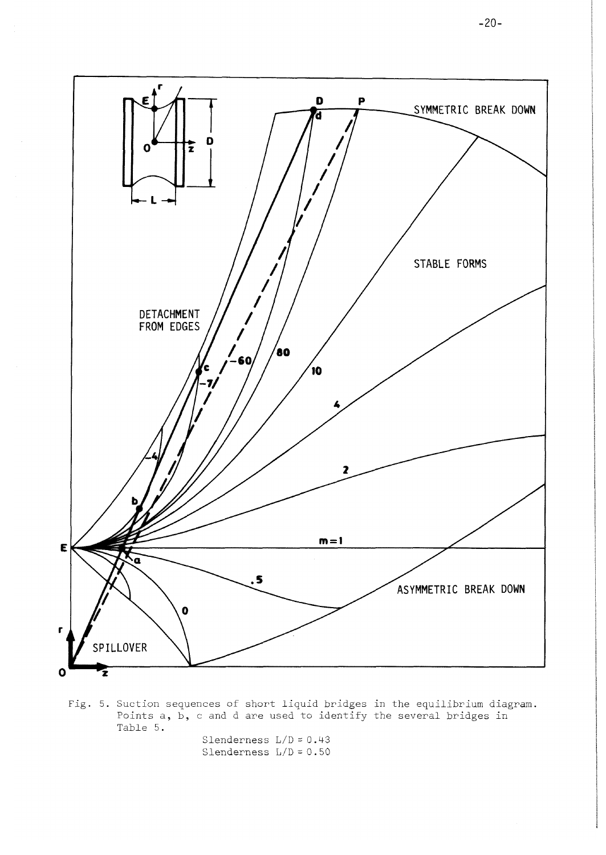

Fig. 5. Suction sequences of short liquid bridges in the equilibrium diagram. Points a, b, c and d are used to identify the several bridges in Table 5.

Slenderness L/D = 0.43 Slenderness L/D = 0.50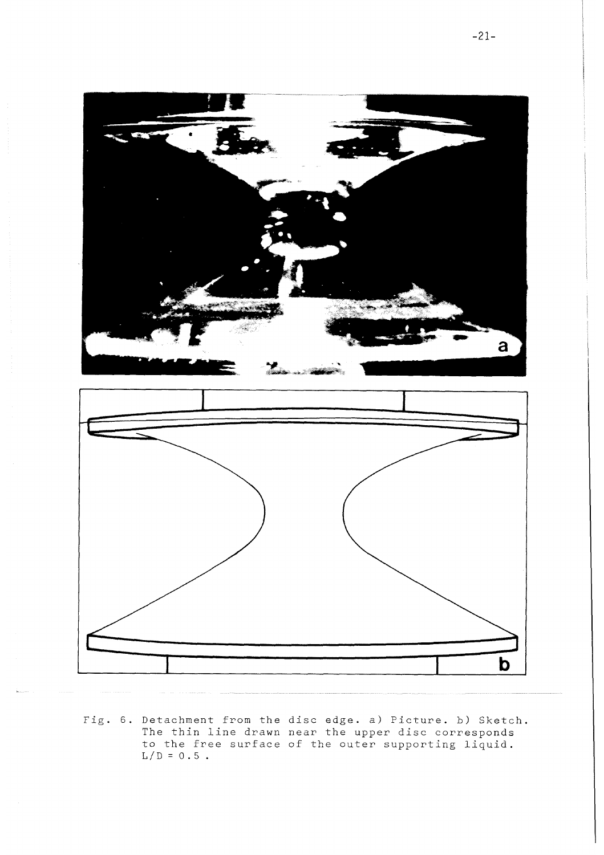

Fig. 6. Detachment from the disc edge, a) Picture, b) Sketch The thin line drawn near the upper disc corresponds to the free surface of the outer supporting liquid.  $L/D = 0.5$ .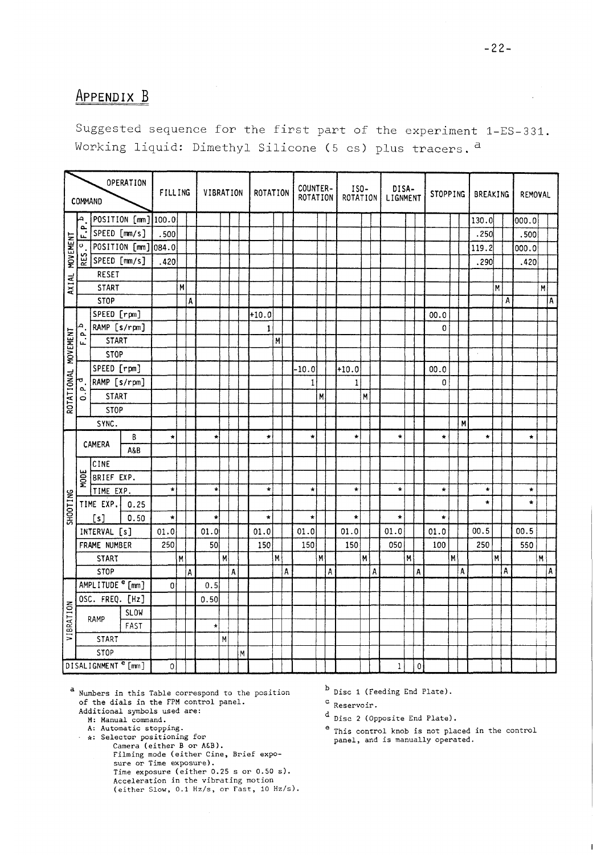# **APPENDIX B**

Suggested sequence for the first part of the experiment 1-ES-331. Working liquid: Dimethyl Silicone (5 cs) plus tracers.<sup>a</sup>

|                     | COMMAND         |                 | OPERATION                      | FILLING      |              | VIBRATION |                |   | ROTATION    |   |   | COUNTER-<br>ROTATION |   |   | ISO-<br>ROTATION |   |   | DISA-<br>LIGNMENT |   |           | <b>STOPPING</b> |   |   | BREAKING |   |   | REMOVAL         |   |     |
|---------------------|-----------------|-----------------|--------------------------------|--------------|--------------|-----------|----------------|---|-------------|---|---|----------------------|---|---|------------------|---|---|-------------------|---|-----------|-----------------|---|---|----------|---|---|-----------------|---|-----|
|                     |                 |                 | POSITION [mm] 100.0            |              |              |           |                |   |             |   |   |                      |   |   |                  |   |   |                   |   |           |                 |   |   | 130.0    |   |   | 000.0           |   |     |
|                     | $\frac{a}{\mu}$ |                 | SPEED [mm/s]                   | .500         |              |           |                |   |             |   |   |                      |   |   |                  |   |   |                   |   |           |                 |   |   | .250     |   |   | .500            |   |     |
| MOVEMENT            | $\sigma$        |                 | POSITION [mm] 084.0            |              |              |           |                |   |             |   |   |                      |   |   |                  |   |   |                   |   |           |                 |   |   | 119.2    |   |   | 000.0           |   |     |
|                     | RES.            |                 | SPEED [mm/s]                   | .420         |              |           |                |   |             |   |   |                      |   |   |                  |   |   |                   |   |           |                 |   |   | .290     |   |   | .420            |   |     |
|                     |                 | RESET           |                                |              |              |           |                |   |             |   |   |                      |   |   |                  |   |   |                   |   |           |                 |   |   |          |   |   |                 |   |     |
| AXIAL               |                 | <b>START</b>    |                                |              | M            |           |                |   |             |   |   |                      |   |   |                  |   |   |                   |   |           |                 |   |   |          | Μ |   |                 | M |     |
|                     |                 | <b>STOP</b>     |                                |              | A            |           |                |   |             |   |   |                      |   |   |                  |   |   |                   |   |           |                 |   |   |          |   | Α |                 |   | ۱A. |
|                     |                 | SPEED [rpm]     |                                |              |              |           |                |   | $+10.0$     |   |   |                      |   |   |                  |   |   |                   |   |           | 00.0            |   |   |          |   |   |                 |   |     |
|                     | A               |                 | RAMP [s/rpm]                   |              |              |           |                |   | $\mathbf 1$ |   |   |                      |   |   |                  |   |   |                   |   |           | $\mathbf 0$     |   |   |          |   |   |                 |   |     |
|                     | نم<br>ند        | <b>START</b>    |                                |              |              |           |                |   |             | M |   |                      |   |   |                  |   |   |                   |   |           |                 |   |   |          |   |   |                 |   |     |
| ROTATIONAL MOVEMENT |                 | <b>STOP</b>     |                                |              |              |           |                |   |             |   |   |                      |   |   |                  |   |   |                   |   |           |                 |   |   |          |   |   |                 |   |     |
|                     |                 | SPEED [rpm]     |                                |              |              |           |                |   |             |   |   | $-10.0$              |   |   | $+10.0$          |   |   |                   |   |           | 00.0            |   |   |          |   |   |                 |   |     |
|                     |                 | RAMP [s/rpm]    |                                |              |              |           |                |   |             |   |   | $\mathbf{1}$         |   |   | $\,1$            |   |   |                   |   |           | 0               |   |   |          |   |   |                 |   |     |
|                     | $\frac{1}{2}$   | <b>START</b>    |                                |              |              |           |                |   |             |   |   |                      | M |   |                  | M |   |                   |   |           |                 |   |   |          |   |   |                 |   |     |
|                     |                 | <b>STOP</b>     |                                |              |              |           |                |   |             |   |   |                      |   |   |                  |   |   |                   |   |           |                 |   |   |          |   |   |                 |   |     |
|                     |                 | SYNC.           |                                |              |              |           |                |   |             |   |   |                      |   |   |                  |   |   |                   |   |           |                 |   | M |          |   |   |                 |   |     |
|                     |                 | CAMERA          | B                              | $\star$      |              | ×         |                |   | $\star$     |   |   | $\star$              |   |   | $\star$          |   |   | $\bullet$         |   |           | $\star$         |   |   | $\star$  |   |   | $\star$         |   |     |
|                     |                 |                 | A&B                            |              |              |           |                |   |             |   |   |                      |   |   |                  |   |   |                   |   |           |                 |   |   |          |   |   |                 |   |     |
|                     |                 | CINE            |                                |              |              |           |                |   |             |   |   |                      |   |   |                  |   |   |                   |   |           |                 |   |   |          |   |   |                 |   |     |
|                     | MODE            | BRIEF EXP.      |                                |              |              |           |                |   |             |   |   |                      |   |   |                  |   |   |                   |   |           |                 |   |   |          |   |   |                 |   |     |
|                     |                 | TIME EXP.       |                                | $\star$      |              | $\star$   |                |   | $\star$     |   |   | $\star$              |   |   | $\star$          |   |   | $\star$           |   |           | $\star$         |   |   | $\star$  |   |   | $\star$         |   |     |
| <b>SHOOTING</b>     |                 | TIME EXP.       | 0.25                           |              |              |           |                |   |             |   |   |                      |   |   |                  |   |   |                   |   |           |                 |   |   | $\star$  |   |   | $\color{red}$ + |   |     |
|                     |                 | [s]             | 0.50                           | $\star$      |              | $\star$   |                |   | $\star$     |   |   | $\star$              |   |   | $\star$          |   |   | $\star$           |   |           | $\star$         |   |   |          |   |   |                 |   |     |
|                     |                 | INTERVAL [s]    |                                | 01.0         |              | 01.0      |                |   | 01.0        |   |   | 01.0                 |   |   | 01.0             |   |   | 01.0              |   |           | 01.0            |   |   | 00.5     |   |   | 00.5            |   |     |
|                     |                 | FRAME NUMBER    |                                | 250          |              | 50        |                |   | 150         |   |   | 150                  |   |   | 150              |   |   | 050               |   |           | 100             |   |   | 250      |   |   | 550             |   |     |
|                     |                 | <b>START</b>    |                                |              | $\mathsf{M}$ |           | $\overline{M}$ |   |             | M |   |                      | M |   |                  | M |   |                   | M |           |                 | M |   |          | M | A |                 | M |     |
|                     |                 | <b>STOP</b>     | AMPLITUDE <sup>e</sup> [mm]    |              | A            | 0.5       |                | A |             |   | A |                      |   | A |                  |   | A |                   |   | A         |                 |   | A |          |   |   |                 |   | Α   |
|                     |                 |                 |                                | 0            |              |           |                |   |             |   |   |                      |   |   |                  |   |   |                   |   |           |                 |   |   |          |   |   |                 |   |     |
|                     |                 | OSC. FREQ. [Hz] |                                |              |              | 0.50      |                |   |             |   |   |                      |   |   |                  |   |   |                   |   |           |                 |   |   |          |   |   |                 |   |     |
|                     |                 | RAMP            | <b>SLOW</b><br>FAST            |              |              |           |                |   |             |   |   |                      |   |   |                  |   |   |                   |   |           |                 |   |   |          |   |   |                 |   |     |
| VIBRATION           |                 | START           |                                |              |              | $\star$   | M              |   |             |   |   |                      |   |   |                  |   |   |                   |   |           |                 |   |   |          |   |   |                 |   |     |
|                     |                 | <b>STOP</b>     |                                |              |              |           |                | M |             |   |   |                      |   |   |                  |   |   |                   |   |           |                 |   |   |          |   |   |                 |   |     |
|                     |                 |                 | DISALIGNMENT <sup>e</sup> [mm] | $\mathbf{0}$ |              |           |                |   |             |   |   |                      |   |   |                  |   |   | $\mathbf{1}$      |   | $\pmb{0}$ |                 |   |   |          |   |   |                 |   |     |

a Numbers in this Table correspond to the position of the dials in the FPM control panel. Additional symbols used are:

- 
- M: Manual command.
- A: Automatic stopping. • \*: Selector positioning for
	- - Camera (either B or A£B). Filming mode (either Cine, Brief exposure or Time exposure). Time exposure (either 0.25 s or 0.50 s). Acceleration in the vibrating motion (either Slow, 0.1 Hz/s, or Fast, 10 Hz/s).
- b Disc 1 (Feeding End Plate).
- Reservoir.
- Disc 2 (Opposite End Plate).
- This control knob is not placed in the control panel, and is manually operated.

 $\mathbf{I}$